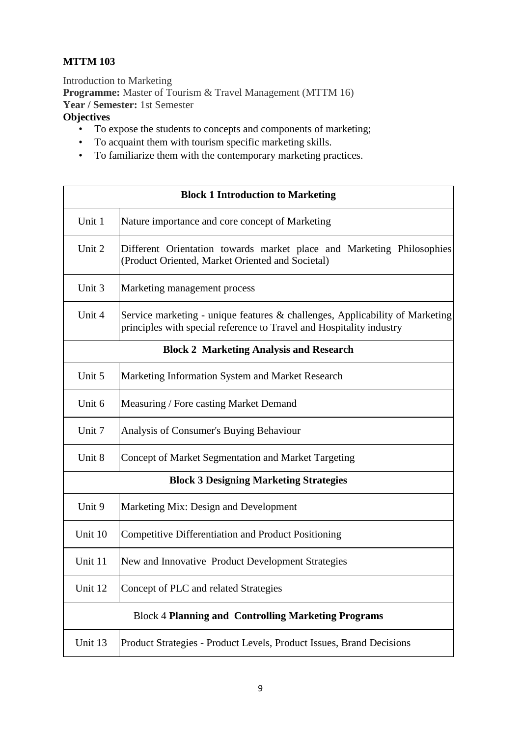## **MTTM 103**

Introduction to Marketing **Programme:** Master of Tourism & Travel Management (MTTM 16) **Year / Semester:** 1st Semester **Objectives** 

## • To expose the students to concepts and components of marketing;

- To acquaint them with tourism specific marketing skills.
- To familiarize them with the contemporary marketing practices.

| <b>Block 1 Introduction to Marketing</b>                   |                                                                                                                                                      |  |
|------------------------------------------------------------|------------------------------------------------------------------------------------------------------------------------------------------------------|--|
| Unit 1                                                     | Nature importance and core concept of Marketing                                                                                                      |  |
| Unit 2                                                     | Different Orientation towards market place and Marketing Philosophies<br>(Product Oriented, Market Oriented and Societal)                            |  |
| Unit 3                                                     | Marketing management process                                                                                                                         |  |
| Unit 4                                                     | Service marketing - unique features & challenges, Applicability of Marketing<br>principles with special reference to Travel and Hospitality industry |  |
| <b>Block 2 Marketing Analysis and Research</b>             |                                                                                                                                                      |  |
| Unit 5                                                     | Marketing Information System and Market Research                                                                                                     |  |
| Unit 6                                                     | Measuring / Fore casting Market Demand                                                                                                               |  |
| Unit 7                                                     | Analysis of Consumer's Buying Behaviour                                                                                                              |  |
| Unit 8                                                     | Concept of Market Segmentation and Market Targeting                                                                                                  |  |
| <b>Block 3 Designing Marketing Strategies</b>              |                                                                                                                                                      |  |
| Unit 9                                                     | Marketing Mix: Design and Development                                                                                                                |  |
| Unit 10                                                    | <b>Competitive Differentiation and Product Positioning</b>                                                                                           |  |
| Unit 11                                                    | New and Innovative Product Development Strategies                                                                                                    |  |
| Unit 12                                                    | Concept of PLC and related Strategies                                                                                                                |  |
| <b>Block 4 Planning and Controlling Marketing Programs</b> |                                                                                                                                                      |  |
| Unit 13                                                    | Product Strategies - Product Levels, Product Issues, Brand Decisions                                                                                 |  |